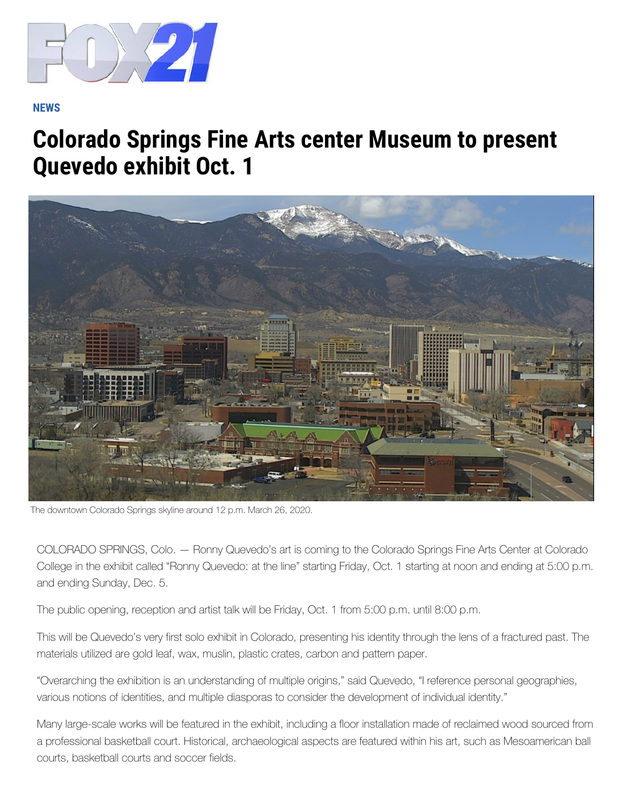

## **N[EWS](https://www.fox21news.com/live/)**

## **[Colorado Springs Fine Arts center Museum to present](https://www.fox21news.com/weather/closings-and-delays/)  Quevedo exhibit Oct. 1**



The downtown Colorado Springs skyline around 12 p.m. March 26, 2020.

COLORADO SPRINGS, Colo. — Ronny Quevedo's art is coming to the Colorado Springs Fine Arts Center at Colorado College in the exhibit called "Ronny Quevedo: at the line" starting Friday, Oct. 1 starting at noon and ending at 5:00 p.m. and ending Sunday, Dec. 5.

The public opening, reception and artist talk will be Friday, Oct. 1 from 5:00 p.m. until 8:00 p.m.

This will be Quevedo's very first solo exhibit in Colorado, presenting his identity through the lens of a fractured past. The materials utilized are gold leaf, wax, muslin, plastic crates, carbon and pattern paper.

"Overarching the exhibition is an understanding of multiple origins," said Quevedo, "I reference personal geographies, various notions of identities, and multiple diasporas to consider the development of individual identity."

Many large-scale works will be featured in the exhibit, including a floor installation made of reclaimed wood sourced from a professional basketball court. Historical, archaeological aspects are featured within his art, such as Mesoamerican ball courts, basketball courts and soccer fields.